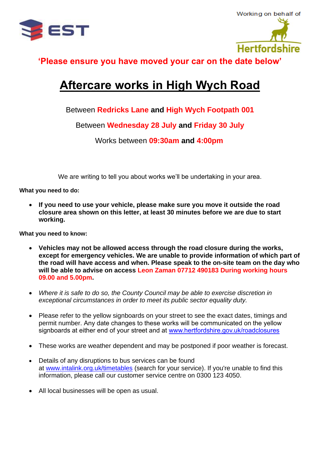



**'Please ensure you have moved your car on the date below'** 

## **Aftercare works in High Wych Road**

Between **Redricks Lane and High Wych Footpath 001**

Between **Wednesday 28 July and Friday 30 July**

Works between **09:30am and 4:00pm**

We are writing to tell you about works we'll be undertaking in your area.

**What you need to do:**

• **If you need to use your vehicle, please make sure you move it outside the road closure area shown on this letter, at least 30 minutes before we are due to start working.**

**What you need to know:**

- **Vehicles may not be allowed access through the road closure during the works, except for emergency vehicles. We are unable to provide information of which part of the road will have access and when. Please speak to the on-site team on the day who will be able to advise on access Leon Zaman 07712 490183 During working hours 09.00 and 5.00pm.**
- *Where it is safe to do so, the County Council may be able to exercise discretion in exceptional circumstances in order to meet its public sector equality duty.*
- Please refer to the yellow signboards on your street to see the exact dates, timings and permit number. Any date changes to these works will be communicated on the yellow signboards at either end of your street and at [www.hertfordshire.gov.uk/roadclosures](http://www.hertfordshire.gov.uk/roadclosures)
- These works are weather dependent and may be postponed if poor weather is forecast.
- Details of any disruptions to bus services can be found at [www.intalink.org.uk/timetables](http://www.intalink.org.uk/timetables) (search for your service). If you're unable to find this information, please call our customer service centre on 0300 123 4050.
- All local businesses will be open as usual.